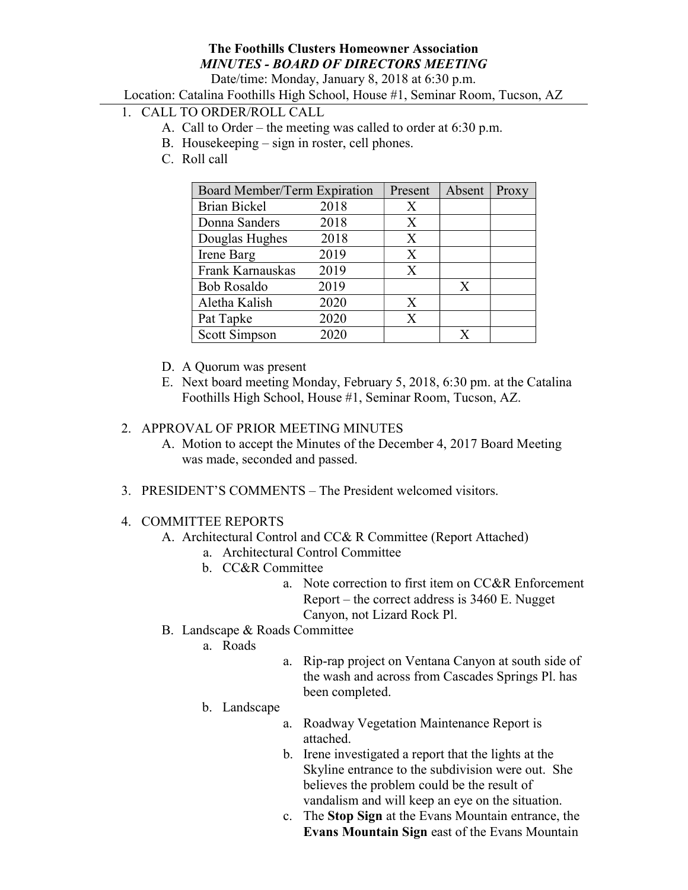### The Foothills Clusters Homeowner Association MINUTES - BOARD OF DIRECTORS MEETING

Date/time: Monday, January 8, 2018 at 6:30 p.m.

Location: Catalina Foothills High School, House #1, Seminar Room, Tucson, AZ

### 1. CALL TO ORDER/ROLL CALL

- A. Call to Order the meeting was called to order at 6:30 p.m.
- B. Housekeeping sign in roster, cell phones.
- C. Roll call

| Board Member/Term Expiration |      | Present | Absent | Proxy |
|------------------------------|------|---------|--------|-------|
| <b>Brian Bickel</b>          | 2018 | X       |        |       |
| Donna Sanders                | 2018 | X       |        |       |
| Douglas Hughes               | 2018 | X       |        |       |
| Irene Barg                   | 2019 | X       |        |       |
| Frank Karnauskas             | 2019 | X       |        |       |
| <b>Bob Rosaldo</b>           | 2019 |         | X      |       |
| Aletha Kalish                | 2020 | X       |        |       |
| Pat Tapke                    | 2020 | X       |        |       |
| Scott Simpson                | 2020 |         | x      |       |

- D. A Quorum was present
- E. Next board meeting Monday, February 5, 2018, 6:30 pm. at the Catalina Foothills High School, House #1, Seminar Room, Tucson, AZ.

#### 2. APPROVAL OF PRIOR MEETING MINUTES

- A. Motion to accept the Minutes of the December 4, 2017 Board Meeting was made, seconded and passed.
- 3. PRESIDENT'S COMMENTS The President welcomed visitors.

#### 4. COMMITTEE REPORTS

- A. Architectural Control and CC& R Committee (Report Attached)
	- a. Architectural Control Committee
	- b. CC&R Committee
		- a. Note correction to first item on CC&R Enforcement Report – the correct address is 3460 E. Nugget Canyon, not Lizard Rock Pl.
- B. Landscape & Roads Committee
	- a. Roads
- a. Rip-rap project on Ventana Canyon at south side of the wash and across from Cascades Springs Pl. has been completed.
- b. Landscape
	- a. Roadway Vegetation Maintenance Report is attached.
	- b. Irene investigated a report that the lights at the Skyline entrance to the subdivision were out. She believes the problem could be the result of vandalism and will keep an eye on the situation.
	- c. The Stop Sign at the Evans Mountain entrance, the Evans Mountain Sign east of the Evans Mountain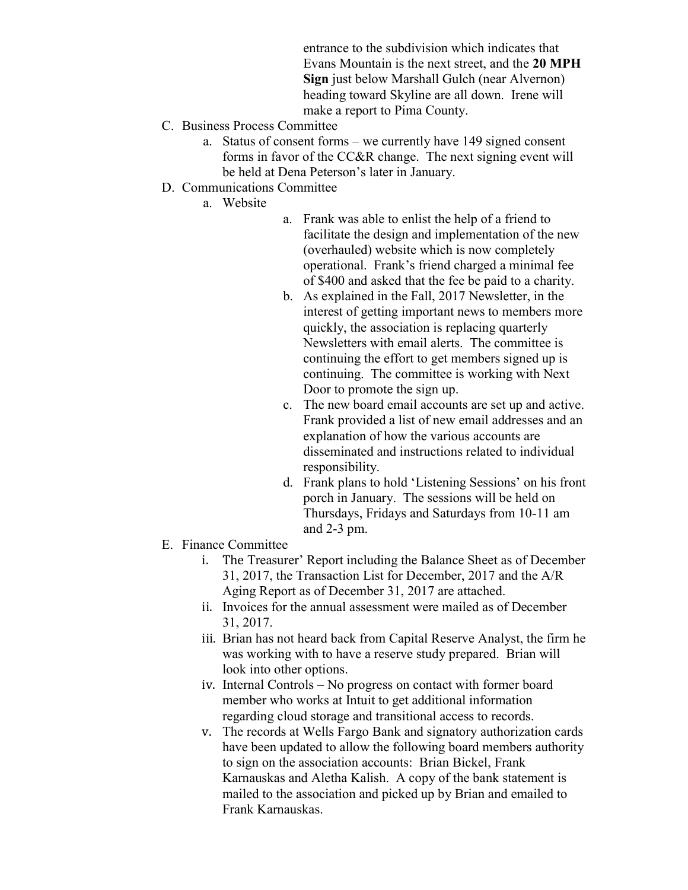entrance to the subdivision which indicates that Evans Mountain is the next street, and the 20 MPH Sign just below Marshall Gulch (near Alvernon) heading toward Skyline are all down. Irene will make a report to Pima County.

- C. Business Process Committee
	- a. Status of consent forms we currently have 149 signed consent forms in favor of the CC&R change. The next signing event will be held at Dena Peterson's later in January.
- D. Communications Committee
	- a. Website
- a. Frank was able to enlist the help of a friend to facilitate the design and implementation of the new (overhauled) website which is now completely operational. Frank's friend charged a minimal fee of \$400 and asked that the fee be paid to a charity.
- b. As explained in the Fall, 2017 Newsletter, in the interest of getting important news to members more quickly, the association is replacing quarterly Newsletters with email alerts. The committee is continuing the effort to get members signed up is continuing. The committee is working with Next Door to promote the sign up.
- c. The new board email accounts are set up and active. Frank provided a list of new email addresses and an explanation of how the various accounts are disseminated and instructions related to individual responsibility.
- d. Frank plans to hold 'Listening Sessions' on his front porch in January. The sessions will be held on Thursdays, Fridays and Saturdays from 10-11 am and 2-3 pm.
- E. Finance Committee
	- i. The Treasurer' Report including the Balance Sheet as of December 31, 2017, the Transaction List for December, 2017 and the A/R Aging Report as of December 31, 2017 are attached.
	- ii. Invoices for the annual assessment were mailed as of December 31, 2017.
	- iii. Brian has not heard back from Capital Reserve Analyst, the firm he was working with to have a reserve study prepared. Brian will look into other options.
	- iv. Internal Controls No progress on contact with former board member who works at Intuit to get additional information regarding cloud storage and transitional access to records.
	- v. The records at Wells Fargo Bank and signatory authorization cards have been updated to allow the following board members authority to sign on the association accounts: Brian Bickel, Frank Karnauskas and Aletha Kalish. A copy of the bank statement is mailed to the association and picked up by Brian and emailed to Frank Karnauskas.